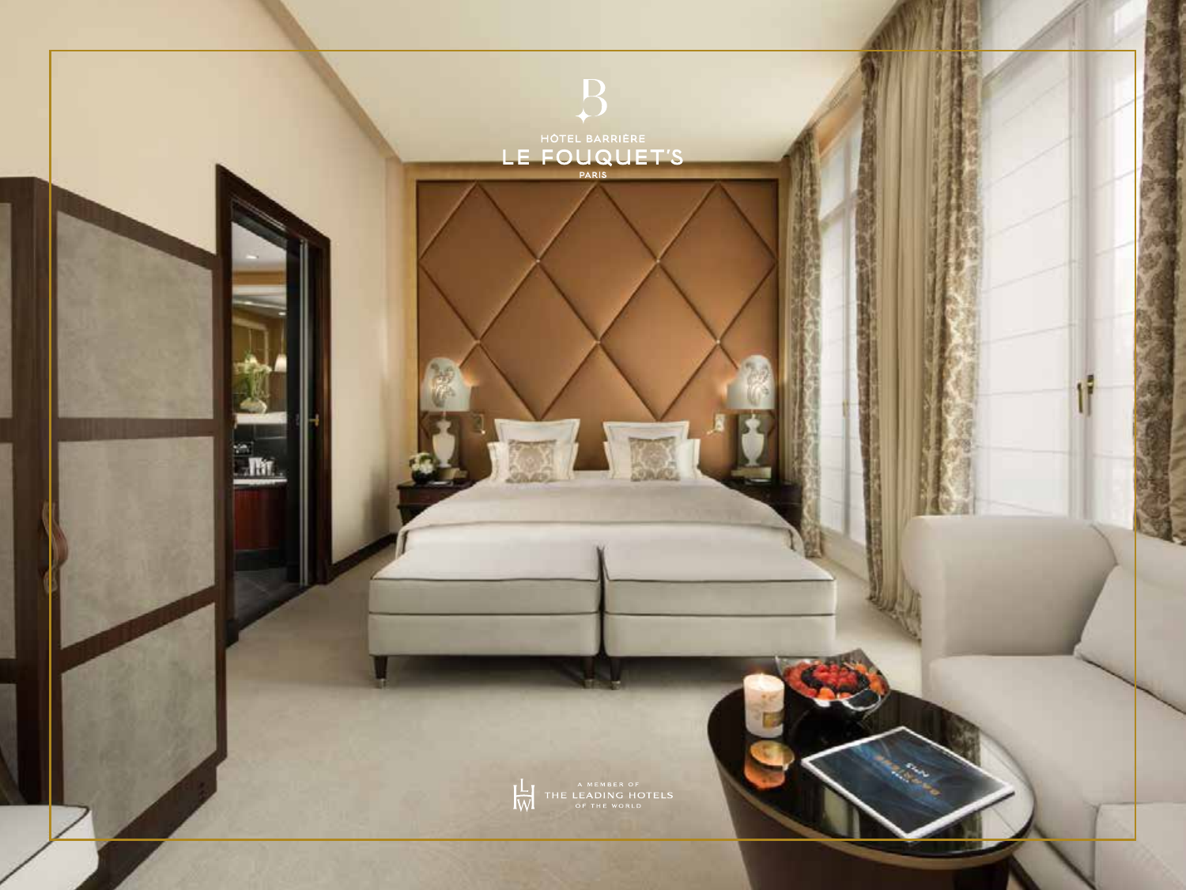